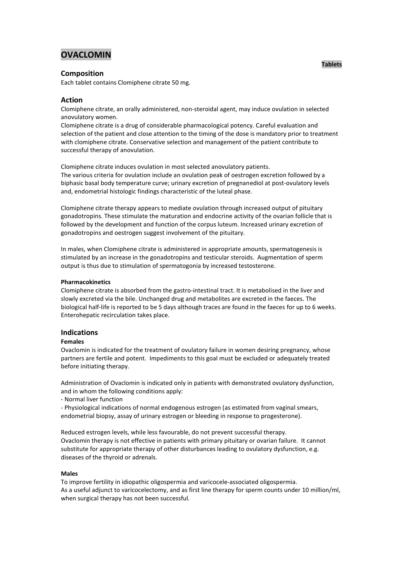# **OVACLOMIN**

# **Composition**

Each tablet contains Clomiphene citrate 50 mg.

# **Action**

Clomiphene citrate, an orally administered, non-steroidal agent, may induce ovulation in selected anovulatory women.

Clomiphene citrate is a drug of considerable pharmacological potency. Careful evaluation and selection of the patient and close attention to the timing of the dose is mandatory prior to treatment with clomiphene citrate. Conservative selection and management of the patient contribute to successful therapy of anovulation.

Clomiphene citrate induces ovulation in most selected anovulatory patients. The various criteria for ovulation include an ovulation peak of oestrogen excretion followed by a biphasic basal body temperature curve; urinary excretion of pregnanediol at post-ovulatory levels and, endometrial histologic findings characteristic of the luteal phase.

Clomiphene citrate therapy appears to mediate ovulation through increased output of pituitary gonadotropins. These stimulate the maturation and endocrine activity of the ovarian follicle that is followed by the development and function of the corpus luteum. Increased urinary excretion of gonadotropins and oestrogen suggest involvement of the pituitary.

In males, when Clomiphene citrate is administered in appropriate amounts, spermatogenesis is stimulated by an increase in the gonadotropins and testicular steroids. Augmentation of sperm output is thus due to stimulation of spermatogonia by increased testosterone.

## **Pharmacokinetics**

Clomiphene citrate is absorbed from the gastro-intestinal tract. It is metabolised in the liver and slowly excreted via the bile. Unchanged drug and metabolites are excreted in the faeces. The biological half-life is reported to be 5 days although traces are found in the faeces for up to 6 weeks. Enterohepatic recirculation takes place.

## **Indications**

#### **Females**

Ovaclomin is indicated for the treatment of ovulatory failure in women desiring pregnancy, whose partners are fertile and potent. Impediments to this goal must be excluded or adequately treated before initiating therapy.

Administration of Ovaclomin is indicated only in patients with demonstrated ovulatory dysfunction, and in whom the following conditions apply:

- Normal liver function

- Physiological indications of normal endogenous estrogen (as estimated from vaginal smears, endometrial biopsy, assay of urinary estrogen or bleeding in response to progesterone).

Reduced estrogen levels, while less favourable, do not prevent successful therapy. Ovaclomin therapy is not effective in patients with primary pituitary or ovarian failure. It cannot substitute for appropriate therapy of other disturbances leading to ovulatory dysfunction, e.g. diseases of the thyroid or adrenals.

#### **Males**

To improve fertility in idiopathic oligospermia and varicocele-associated oligospermia. As a useful adjunct to varicocelectomy, and as first line therapy for sperm counts under 10 million/ml, when surgical therapy has not been successful.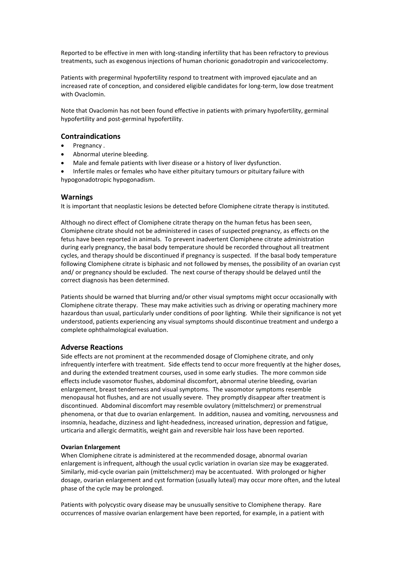Reported to be effective in men with long-standing infertility that has been refractory to previous treatments, such as exogenous injections of human chorionic gonadotropin and varicocelectomy.

Patients with pregerminal hypofertility respond to treatment with improved ejaculate and an increased rate of conception, and considered eligible candidates for long-term, low dose treatment with Ovaclomin.

Note that Ovaclomin has not been found effective in patients with primary hypofertility, germinal hypofertility and post-germinal hypofertility.

## **Contraindications**

- Pregnancy .
- Abnormal uterine bleeding.
- Male and female patients with liver disease or a history of liver dysfunction.

 Infertile males or females who have either pituitary tumours or pituitary failure with hypogonadotropic hypogonadism.

## **Warnings**

It is important that neoplastic lesions be detected before Clomiphene citrate therapy is instituted.

Although no direct effect of Clomiphene citrate therapy on the human fetus has been seen, Clomiphene citrate should not be administered in cases of suspected pregnancy, as effects on the fetus have been reported in animals. To prevent inadvertent Clomiphene citrate administration during early pregnancy, the basal body temperature should be recorded throughout all treatment cycles, and therapy should be discontinued if pregnancy is suspected. If the basal body temperature following Clomiphene citrate is biphasic and not followed by menses, the possibility of an ovarian cyst and/ or pregnancy should be excluded. The next course of therapy should be delayed until the correct diagnosis has been determined.

Patients should be warned that blurring and/or other visual symptoms might occur occasionally with Clomiphene citrate therapy. These may make activities such as driving or operating machinery more hazardous than usual, particularly under conditions of poor lighting. While their significance is not yet understood, patients experiencing any visual symptoms should discontinue treatment and undergo a complete ophthalmological evaluation.

## **Adverse Reactions**

Side effects are not prominent at the recommended dosage of Clomiphene citrate, and only infrequently interfere with treatment. Side effects tend to occur more frequently at the higher doses, and during the extended treatment courses, used in some early studies. The more common side effects include vasomotor flushes, abdominal discomfort, abnormal uterine bleeding, ovarian enlargement, breast tenderness and visual symptoms. The vasomotor symptoms resemble menopausal hot flushes, and are not usually severe. They promptly disappear after treatment is discontinued. Abdominal discomfort may resemble ovulatory (mittelschmerz) or premenstrual phenomena, or that due to ovarian enlargement. In addition, nausea and vomiting, nervousness and insomnia, headache, dizziness and light-headedness, increased urination, depression and fatigue, urticaria and allergic dermatitis, weight gain and reversible hair loss have been reported.

### **Ovarian Enlargement**

When Clomiphene citrate is administered at the recommended dosage, abnormal ovarian enlargement is infrequent, although the usual cyclic variation in ovarian size may be exaggerated. Similarly, mid-cycle ovarian pain (mittelschmerz) may be accentuated. With prolonged or higher dosage, ovarian enlargement and cyst formation (usually luteal) may occur more often, and the luteal phase of the cycle may be prolonged.

Patients with polycystic ovary disease may be unusually sensitive to Clomiphene therapy. Rare occurrences of massive ovarian enlargement have been reported, for example, in a patient with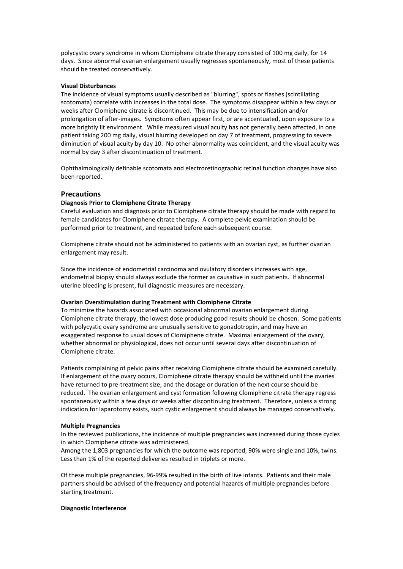polycystic ovary syndrome in whom Clomiphene citrate therapy consisted of 100 mg daily, for 14 days. Since abnormal ovarian enlargement usually regresses spontaneously, most of these patients should be treated conservatively.

## **Visual Disturbances**

The incidence of visual symptoms usually described as "blurring", spots or flashes (scintillating scotomata) correlate with increases in the total dose. The symptoms disappear within a few days or weeks after Clomiphene citrate is discontinued. This may be due to intensification and/or prolongation of after-images. Symptoms often appear first, or are accentuated, upon exposure to a more brightly lit environment. While measured visual acuity has not generally been affected, in one patient taking 200 mg daily, visual blurring developed on day 7 of treatment, progressing to severe diminution of visual acuity by day 10. No other abnormality was coincident, and the visual acuity was normal by day 3 after discontinuation of treatment.

Ophthalmologically definable scotomata and electroretinographic retinal function changes have also been reported.

## **Precautions**

## **Diagnosis Prior to Clomiphene Citrate Therapy**

Careful evaluation and diagnosis prior to Clomiphene citrate therapy should be made with regard to female candidates for Clomiphene citrate therapy. A complete pelvic examination should be performed prior to treatment, and repeated before each subsequent course.

Clomiphene citrate should not be administered to patients with an ovarian cyst, as further ovarian enlargement may result.

Since the incidence of endometrial carcinoma and ovulatory disorders increases with age, endometrial biopsy should always exclude the former as causative in such patients. If abnormal uterine bleeding is present, full diagnostic measures are necessary.

#### **Ovarian Overstimulation during Treatment with Clomiphene Citrate**

To minimize the hazards associated with occasional abnormal ovarian enlargement during Clomiphene citrate therapy, the lowest dose producing good results should be chosen. Some patients with polycystic ovary syndrome are unusually sensitive to gonadotropin, and may have an exaggerated response to usual doses of Clomiphene citrate. Maximal enlargement of the ovary, whether abnormal or physiological, does not occur until several days after discontinuation of Clomiphene citrate.

Patients complaining of pelvic pains after receiving Clomiphene citrate should be examined carefully. If enlargement of the ovary occurs, Clomiphene citrate therapy should be withheld until the ovaries have returned to pre-treatment size, and the dosage or duration of the next course should be reduced. The ovarian enlargement and cyst formation following Clomiphene citrate therapy regress spontaneously within a few days or weeks after discontinuing treatment. Therefore, unless a strong indication for laparotomy exists, such cystic enlargement should always be managed conservatively.

#### **Multiple Pregnancies**

In the reviewed publications, the incidence of multiple pregnancies was increased during those cycles in which Clomiphene citrate was administered.

Among the 1,803 pregnancies for which the outcome was reported, 90% were single and 10%, twins. Less than 1% of the reported deliveries resulted in triplets or more.

Of these multiple pregnancies, 96-99% resulted in the birth of live infants. Patients and their male partners should be advised of the frequency and potential hazards of multiple pregnancies before starting treatment.

#### **Diagnostic Interference**